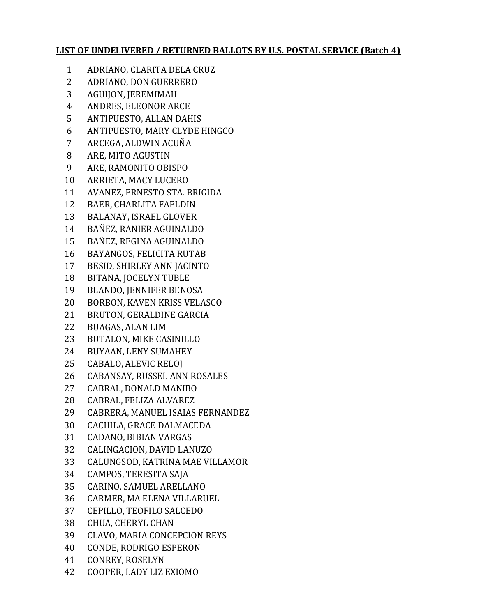## **LIST OF UNDELIVERED / RETURNED BALLOTS BY U.S. POSTAL SERVICE (Batch 4)**

- ADRIANO, CLARITA DELA CRUZ
- ADRIANO, DON GUERRERO
- AGUIJON, JEREMIMAH
- ANDRES, ELEONOR ARCE
- ANTIPUESTO, ALLAN DAHIS
- ANTIPUESTO, MARY CLYDE HINGCO
- ARCEGA, ALDWIN ACUÑA
- ARE, MITO AGUSTIN
- ARE, RAMONITO OBISPO
- ARRIETA, MACY LUCERO
- AVANEZ, ERNESTO STA. BRIGIDA
- BAER, CHARLITA FAELDIN
- BALANAY, ISRAEL GLOVER
- BAÑEZ, RANIER AGUINALDO
- BAÑEZ, REGINA AGUINALDO
- BAYANGOS, FELICITA RUTAB
- BESID, SHIRLEY ANN JACINTO
- BITANA, JOCELYN TUBLE
- BLANDO, JENNIFER BENOSA
- BORBON, KAVEN KRISS VELASCO
- BRUTON, GERALDINE GARCIA
- BUAGAS, ALAN LIM
- BUTALON, MIKE CASINILLO
- BUYAAN, LENY SUMAHEY
- CABALO, ALEVIC RELOJ
- CABANSAY, RUSSEL ANN ROSALES
- CABRAL, DONALD MANIBO
- CABRAL, FELIZA ALVAREZ
- CABRERA, MANUEL ISAIAS FERNANDEZ
- CACHILA, GRACE DALMACEDA
- CADANO, BIBIAN VARGAS
- CALINGACION, DAVID LANUZO
- CALUNGSOD, KATRINA MAE VILLAMOR
- CAMPOS, TERESITA SAJA
- CARINO, SAMUEL ARELLANO
- CARMER, MA ELENA VILLARUEL
- CEPILLO, TEOFILO SALCEDO
- CHUA, CHERYL CHAN
- CLAVO, MARIA CONCEPCION REYS
- CONDE, RODRIGO ESPERON
- CONREY, ROSELYN
- COOPER, LADY LIZ EXIOMO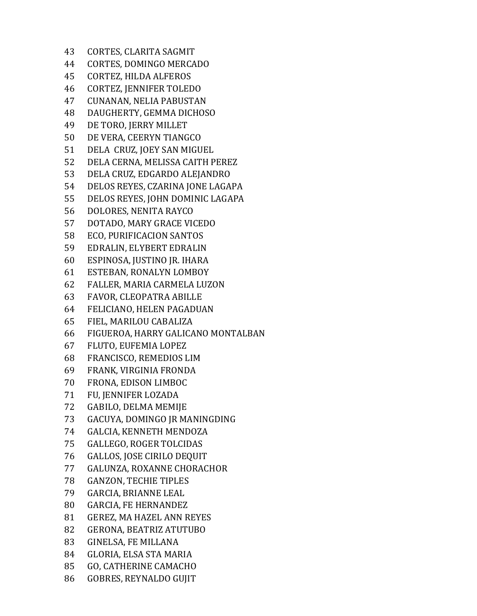CORTES, CLARITA SAGMIT CORTES, DOMINGO MERCADO CORTEZ, HILDA ALFEROS CORTEZ, JENNIFER TOLEDO CUNANAN, NELIA PABUSTAN DAUGHERTY, GEMMA DICHOSO DE TORO, JERRY MILLET DE VERA, CEERYN TIANGCO DELA CRUZ, JOEY SAN MIGUEL DELA CERNA, MELISSA CAITH PEREZ DELA CRUZ, EDGARDO ALEJANDRO DELOS REYES, CZARINA JONE LAGAPA DELOS REYES, JOHN DOMINIC LAGAPA DOLORES, NENITA RAYCO DOTADO, MARY GRACE VICEDO ECO, PURIFICACION SANTOS EDRALIN, ELYBERT EDRALIN ESPINOSA, JUSTINO JR. IHARA ESTEBAN, RONALYN LOMBOY FALLER, MARIA CARMELA LUZON FAVOR, CLEOPATRA ABILLE FELICIANO, HELEN PAGADUAN FIEL, MARILOU CABALIZA FIGUEROA, HARRY GALICANO MONTALBAN FLUTO, EUFEMIA LOPEZ FRANCISCO, REMEDIOS LIM FRANK, VIRGINIA FRONDA FRONA, EDISON LIMBOC FU, JENNIFER LOZADA GABILO, DELMA MEMIJE GACUYA, DOMINGO JR MANINGDING GALCIA, KENNETH MENDOZA GALLEGO, ROGER TOLCIDAS GALLOS, JOSE CIRILO DEQUIT GALUNZA, ROXANNE CHORACHOR GANZON, TECHIE TIPLES GARCIA, BRIANNE LEAL GARCIA, FE HERNANDEZ GEREZ, MA HAZEL ANN REYES GERONA, BEATRIZ ATUTUBO GINELSA, FE MILLANA GLORIA, ELSA STA MARIA GO, CATHERINE CAMACHO GOBRES, REYNALDO GUJIT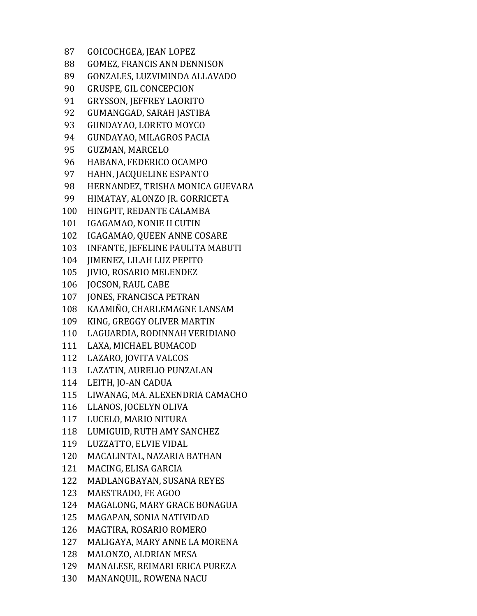GOICOCHGEA, JEAN LOPEZ GOMEZ, FRANCIS ANN DENNISON GONZALES, LUZVIMINDA ALLAVADO GRUSPE, GIL CONCEPCION GRYSSON, JEFFREY LAORITO GUMANGGAD, SARAH JASTIBA GUNDAYAO, LORETO MOYCO GUNDAYAO, MILAGROS PACIA GUZMAN, MARCELO HABANA, FEDERICO OCAMPO HAHN, JACQUELINE ESPANTO HERNANDEZ, TRISHA MONICA GUEVARA HIMATAY, ALONZO JR. GORRICETA HINGPIT, REDANTE CALAMBA IGAGAMAO, NONIE II CUTIN IGAGAMAO, QUEEN ANNE COSARE INFANTE, JEFELINE PAULITA MABUTI JIMENEZ, LILAH LUZ PEPITO JIVIO, ROSARIO MELENDEZ JOCSON, RAUL CABE JONES, FRANCISCA PETRAN KAAMIÑO, CHARLEMAGNE LANSAM KING, GREGGY OLIVER MARTIN LAGUARDIA, RODINNAH VERIDIANO LAXA, MICHAEL BUMACOD LAZARO, JOVITA VALCOS LAZATIN, AURELIO PUNZALAN LEITH, JO-AN CADUA LIWANAG, MA. ALEXENDRIA CAMACHO LLANOS, JOCELYN OLIVA LUCELO, MARIO NITURA LUMIGUID, RUTH AMY SANCHEZ LUZZATTO, ELVIE VIDAL MACALINTAL, NAZARIA BATHAN MACING, ELISA GARCIA MADLANGBAYAN, SUSANA REYES MAESTRADO, FE AGOO MAGALONG, MARY GRACE BONAGUA MAGAPAN, SONIA NATIVIDAD MAGTIRA, ROSARIO ROMERO MALIGAYA, MARY ANNE LA MORENA MALONZO, ALDRIAN MESA MANALESE, REIMARI ERICA PUREZA MANANQUIL, ROWENA NACU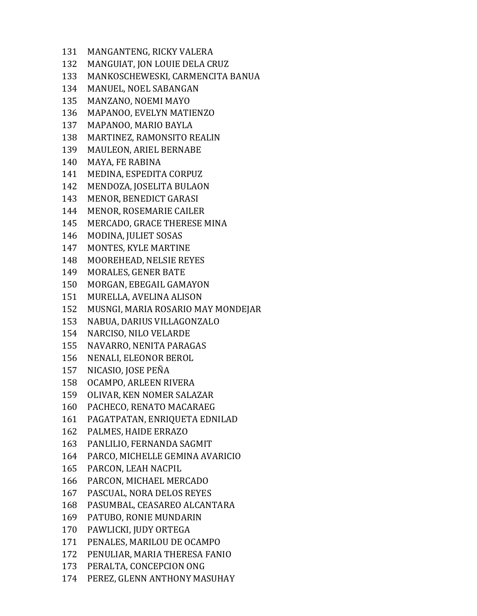MANGANTENG, RICKY VALERA MANGUIAT, JON LOUIE DELA CRUZ MANKOSCHEWESKI, CARMENCITA BANUA MANUEL, NOEL SABANGAN MANZANO, NOEMI MAYO MAPANOO, EVELYN MATIENZO MAPANOO, MARIO BAYLA MARTINEZ, RAMONSITO REALIN MAULEON, ARIEL BERNABE MAYA, FE RABINA MEDINA, ESPEDITA CORPUZ MENDOZA, JOSELITA BULAON MENOR, BENEDICT GARASI MENOR, ROSEMARIE CAILER MERCADO, GRACE THERESE MINA MODINA, JULIET SOSAS MONTES, KYLE MARTINE MOOREHEAD, NELSIE REYES MORALES, GENER BATE MORGAN, EBEGAIL GAMAYON MURELLA, AVELINA ALISON MUSNGI, MARIA ROSARIO MAY MONDEJAR NABUA, DARIUS VILLAGONZALO NARCISO, NILO VELARDE NAVARRO, NENITA PARAGAS NENALI, ELEONOR BEROL NICASIO, JOSE PEÑA OCAMPO, ARLEEN RIVERA OLIVAR, KEN NOMER SALAZAR PACHECO, RENATO MACARAEG PAGATPATAN, ENRIQUETA EDNILAD PALMES, HAIDE ERRAZO PANLILIO, FERNANDA SAGMIT PARCO, MICHELLE GEMINA AVARICIO PARCON, LEAH NACPIL PARCON, MICHAEL MERCADO PASCUAL, NORA DELOS REYES PASUMBAL, CEASAREO ALCANTARA PATUBO, RONIE MUNDARIN PAWLICKI, JUDY ORTEGA PENALES, MARILOU DE OCAMPO PENULIAR, MARIA THERESA FANIO PERALTA, CONCEPCION ONG PEREZ, GLENN ANTHONY MASUHAY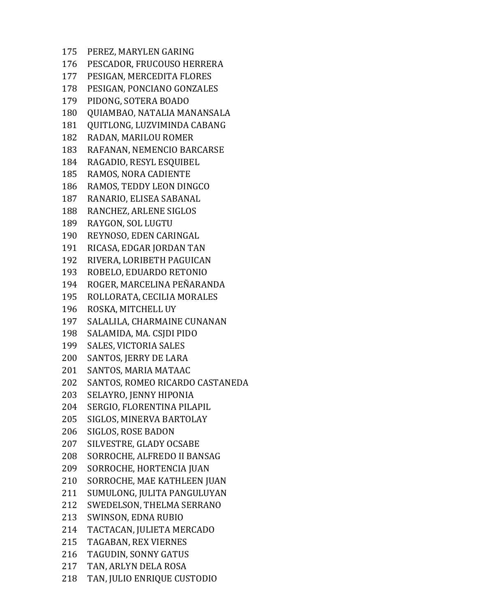PEREZ, MARYLEN GARING PESCADOR, FRUCOUSO HERRERA PESIGAN, MERCEDITA FLORES PESIGAN, PONCIANO GONZALES PIDONG, SOTERA BOADO QUIAMBAO, NATALIA MANANSALA QUITLONG, LUZVIMINDA CABANG RADAN, MARILOU ROMER RAFANAN, NEMENCIO BARCARSE RAGADIO, RESYL ESQUIBEL RAMOS, NORA CADIENTE RAMOS, TEDDY LEON DINGCO RANARIO, ELISEA SABANAL RANCHEZ, ARLENE SIGLOS RAYGON, SOL LUGTU REYNOSO, EDEN CARINGAL RICASA, EDGAR JORDAN TAN RIVERA, LORIBETH PAGUICAN ROBELO, EDUARDO RETONIO ROGER, MARCELINA PEÑARANDA ROLLORATA, CECILIA MORALES ROSKA, MITCHELL UY SALALILA, CHARMAINE CUNANAN SALAMIDA, MA. CSJDI PIDO SALES, VICTORIA SALES SANTOS, JERRY DE LARA SANTOS, MARIA MATAAC SANTOS, ROMEO RICARDO CASTANEDA SELAYRO, JENNY HIPONIA SERGIO, FLORENTINA PILAPIL SIGLOS, MINERVA BARTOLAY SIGLOS, ROSE BADON SILVESTRE, GLADY OCSABE SORROCHE, ALFREDO II BANSAG SORROCHE, HORTENCIA JUAN SORROCHE, MAE KATHLEEN JUAN SUMULONG, JULITA PANGULUYAN SWEDELSON, THELMA SERRANO SWINSON, EDNA RUBIO TACTACAN, JULIETA MERCADO TAGABAN, REX VIERNES TAGUDIN, SONNY GATUS TAN, ARLYN DELA ROSA TAN, JULIO ENRIQUE CUSTODIO